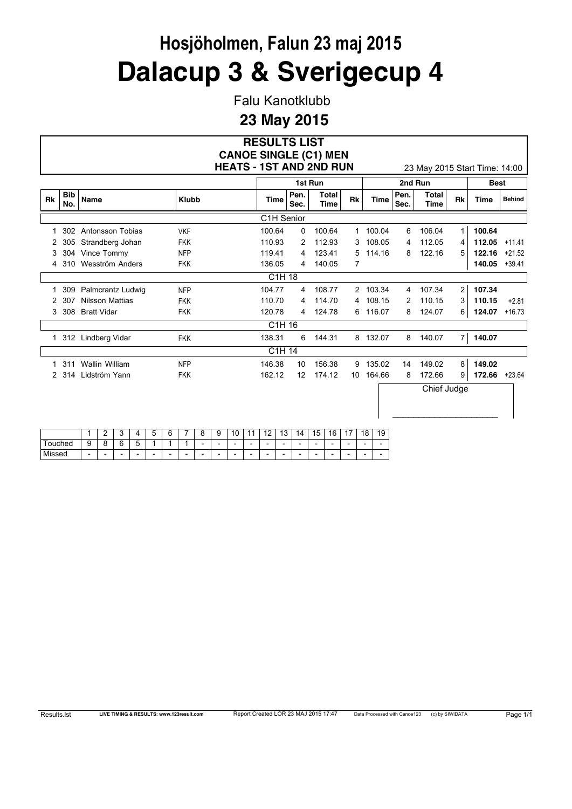Falu Kanotklubb

#### **23 May 2015**

#### **RESULTS LIST HEATS - 1ST AND 2ND RUN** 23 May 2015 Start Time: 14:00 **CANOE SINGLE (C1) MEN**

 $\overline{\phantom{a}}$  , where  $\overline{\phantom{a}}$  , where  $\overline{\phantom{a}}$  , where  $\overline{\phantom{a}}$ 

|           |                   |                    |              |            |              | 1st Run       |              |          |              | 2nd Run       |                | <b>Best</b> |               |
|-----------|-------------------|--------------------|--------------|------------|--------------|---------------|--------------|----------|--------------|---------------|----------------|-------------|---------------|
| <b>Rk</b> | <b>Bib</b><br>No. | Name               | <b>Klubb</b> | Time       | Pen.<br>Sec. | Total<br>Time | Rk           | Time     | Pen.<br>Sec. | Total<br>Time | <b>Rk</b>      | <b>Time</b> | <b>Behind</b> |
|           |                   |                    |              | C1H Senior |              |               |              |          |              |               |                |             |               |
|           | 302               | Antonsson Tobias   | <b>VKF</b>   | 100.64     | 0            | 100.64        | $\mathbf{1}$ | 100.04   | 6            | 106.04        | $\mathbf{1}$   | 100.64      |               |
| 2         | 305               | Strandberg Johan   | <b>FKK</b>   | 110.93     | 2            | 112.93        | 3            | 108.05   | 4            | 112.05        | 4              | 112.05      | $+11.41$      |
| 3         | 304               | Vince Tommy        | <b>NFP</b>   | 119.41     | 4            | 123.41        | 5            | 114.16   | 8            | 122.16        | 5              | 122.16      | $+21.52$      |
| 4         | 310               | Wesström Anders    | <b>FKK</b>   | 136.05     | 4            | 140.05        | 7            |          |              |               |                | 140.05      | $+39.41$      |
|           |                   |                    |              | C1H 18     |              |               |              |          |              |               |                |             |               |
|           | 309               | Palmcrantz Ludwig  | <b>NFP</b>   | 104.77     | 4            | 108.77        |              | 2 103.34 | 4            | 107.34        | $\overline{2}$ | 107.34      |               |
| 2         | 307               | Nilsson Mattias    | <b>FKK</b>   | 110.70     | 4            | 114.70        |              | 4 108.15 | 2            | 110.15        | 3              | 110.15      | $+2.81$       |
| 3         | 308               | <b>Bratt Vidar</b> | <b>FKK</b>   | 120.78     | 4            | 124.78        | 6            | 116.07   | 8            | 124.07        | 6              | 124.07      | $+16.73$      |
|           |                   |                    |              | C1H 16     |              |               |              |          |              |               |                |             |               |
|           |                   | 312 Lindberg Vidar | <b>FKK</b>   | 138.31     | 6            | 144.31        |              | 8 132.07 | 8            | 140.07        | 7              | 140.07      |               |
|           |                   |                    |              | C1H 14     |              |               |              |          |              |               |                |             |               |
|           | 311               | Wallin William     | <b>NFP</b>   | 146.38     | 10           | 156.38        | 9            | 135.02   | 14           | 149.02        | 8              | 149.02      |               |
| 2         | -314              | Lidström Yann      | <b>FKK</b>   | 162.12     | 12           | 174.12        | 10           | 164.66   | 8            | 172.66        | 9              | 172.66      | $+23.64$      |
|           |                   |                    |              |            |              |               |              |          |              | Chief Judge   |                |             |               |

|                       |                          | r                        | c                        |                          | -<br><b>.</b><br>u       | ี่ค<br>∼                 |   | o                        | 9                        | $\sim$<br>и<br>u         |                          | $\sqrt{2}$               | $\overline{ }$<br>ັ      | 14                       | 15<br>J                  | 16                       | $\rightarrow$<br>. .     | 18                       | 19                       |
|-----------------------|--------------------------|--------------------------|--------------------------|--------------------------|--------------------------|--------------------------|---|--------------------------|--------------------------|--------------------------|--------------------------|--------------------------|--------------------------|--------------------------|--------------------------|--------------------------|--------------------------|--------------------------|--------------------------|
| ouched                | ີ<br>ັ                   | ∽<br>๛                   | $\sim$<br>∼              | -<br>∽<br><b>Li</b>      | ۰                        | -                        |   | $\overline{\phantom{0}}$ | $\overline{\phantom{a}}$ | $\overline{\phantom{0}}$ | $\overline{\phantom{a}}$ | $\overline{\phantom{a}}$ | $\overline{\phantom{a}}$ | $\overline{\phantom{a}}$ | $\overline{\phantom{0}}$ | $\overline{\phantom{0}}$ | $\overline{\phantom{a}}$ | $\overline{\phantom{0}}$ | $\overline{\phantom{0}}$ |
| <b>B.A.</b><br>Missed | $\overline{\phantom{0}}$ | $\overline{\phantom{a}}$ | $\overline{\phantom{a}}$ | $\overline{\phantom{0}}$ | $\overline{\phantom{0}}$ | $\overline{\phantom{0}}$ | - | -                        | $\overline{\phantom{0}}$ | $\overline{\phantom{0}}$ | $\overline{\phantom{a}}$ | $\overline{\phantom{a}}$ | $\overline{\phantom{a}}$ | $\overline{\phantom{a}}$ | $\overline{\phantom{0}}$ | $\overline{\phantom{0}}$ | $\overline{\phantom{0}}$ | $\overline{\phantom{0}}$ | $\overline{\phantom{0}}$ |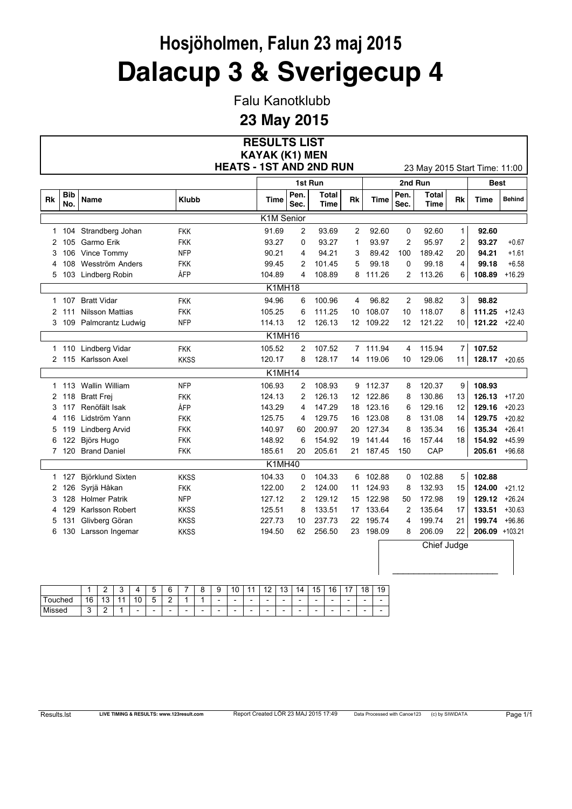Falu Kanotklubb

|                |                   |                         |                                | <b>RESULTS LIST</b>   |                |                             |                |           |              |                               |                |                  |               |
|----------------|-------------------|-------------------------|--------------------------------|-----------------------|----------------|-----------------------------|----------------|-----------|--------------|-------------------------------|----------------|------------------|---------------|
|                |                   |                         |                                | <b>KAYAK (K1) MEN</b> |                |                             |                |           |              |                               |                |                  |               |
|                |                   |                         | <b>HEATS - 1ST AND 2ND RUN</b> |                       |                |                             |                |           |              | 23 May 2015 Start Time: 11:00 |                |                  |               |
|                |                   |                         |                                |                       |                | 1st Run                     |                |           |              | 2nd Run                       |                | <b>Best</b>      |               |
| Rk             | <b>Bib</b><br>No. | Name                    | <b>Klubb</b>                   | Time                  | Pen.<br>Sec.   | <b>Total</b><br><b>Time</b> | Rk             | Time      | Pen.<br>Sec. | <b>Total</b><br><b>Time</b>   | Rk             | Time             | <b>Behind</b> |
|                |                   |                         |                                | K1M Senior            |                |                             |                |           |              |                               |                |                  |               |
|                |                   | 1 104 Strandberg Johan  | <b>FKK</b>                     | 91.69                 | 2              | 93.69                       | $\overline{2}$ | 92.60     | 0            | 92.60                         | $\mathbf{1}$   | 92.60            |               |
| 2              | 105               | Garmo Erik              | <b>FKK</b>                     | 93.27                 | 0              | 93.27                       | 1              | 93.97     | 2            | 95.97                         | $\overline{c}$ | 93.27            | $+0.67$       |
| 3              | 106               | Vince Tommy             | <b>NFP</b>                     | 90.21                 | 4              | 94.21                       | 3              | 89.42     | 100          | 189.42                        | 20             | 94.21            | $+1.61$       |
| 4              | 108               | Wesström Anders         | <b>FKK</b>                     | 99.45                 | 2              | 101.45                      | 5              | 99.18     | $\mathbf 0$  | 99.18                         | 4              | 99.18            | $+6.58$       |
| 5              |                   | 103 Lindberg Robin      | ÅFP                            | 104.89                | 4              | 108.89                      |                | 8 111.26  | 2            | 113.26                        | 6              | 108.89           | $+16.29$      |
|                |                   |                         |                                | K1MH18                |                |                             |                |           |              |                               |                |                  |               |
|                | 1 107             | <b>Bratt Vidar</b>      | <b>FKK</b>                     | 94.96                 | 6              | 100.96                      | 4              | 96.82     | 2            | 98.82                         | 3              | 98.82            |               |
| $\overline{c}$ | 111               | <b>Nilsson Mattias</b>  | <b>FKK</b>                     | 105.25                | 6              | 111.25                      | 10             | 108.07    | 10           | 118.07                        | 8              | 111.25           | $+12.43$      |
|                |                   | 3 109 Palmcrantz Ludwig | <b>NFP</b>                     | 114.13                | 12             | 126.13                      |                | 12 109.22 | 12           | 121.22                        | 10             | $121.22 +22.40$  |               |
|                |                   |                         |                                | K1MH16                |                |                             |                |           |              |                               |                |                  |               |
|                |                   | 1 110 Lindberg Vidar    | <b>FKK</b>                     | 105.52                | 2              | 107.52                      |                | 7 111.94  | 4            | 115.94                        | 7              | 107.52           |               |
|                |                   | 2 115 Karlsson Axel     | <b>KKSS</b>                    | 120.17                | 8              | 128.17                      |                | 14 119.06 | 10           | 129.06                        | 11             | $128.17 + 20.65$ |               |
|                |                   |                         |                                | K1MH14                |                |                             |                |           |              |                               |                |                  |               |
|                |                   | 1 113 Wallin William    | <b>NFP</b>                     | 106.93                | 2              | 108.93                      |                | 9 112.37  | 8            | 120.37                        | 9              | 108.93           |               |
| 2              | 118               | <b>Bratt Frej</b>       | <b>FKK</b>                     | 124.13                | $\overline{2}$ | 126.13                      |                | 12 122.86 | 8            | 130.86                        | 13             | 126.13           | $+17.20$      |
| 3              | 117               | Renöfält Isak           | ÅFP                            | 143.29                | 4              | 147.29                      | 18             | 123.16    | 6            | 129.16                        | 12             | 129.16           | $+20.23$      |
| 4              | 116               | Lidström Yann           | FKK                            | 125.75                | 4              | 129.75                      | 16             | 123.08    | 8            | 131.08                        | 14             | 129.75           | $+20.82$      |
| 5              | 119               | <b>Lindberg Arvid</b>   | <b>FKK</b>                     | 140.97                | 60             | 200.97                      |                | 20 127.34 | 8            | 135.34                        | 16             | 135.34           | $+26.41$      |
| 6              | 122               | Björs Hugo              | <b>FKK</b>                     | 148.92                | 6              | 154.92                      | 19             | 141.44    | 16           | 157.44                        | 18             | 154.92           | $+45.99$      |
|                | 7 120             | <b>Brand Daniel</b>     | <b>FKK</b>                     | 185.61                | 20             | 205.61                      | 21             | 187.45    | 150          | CAP                           |                | 205.61           | $+96.68$      |
|                |                   |                         |                                | K1MH40                |                |                             |                |           |              |                               |                |                  |               |
|                | 1 127             | Björklund Sixten        | <b>KKSS</b>                    | 104.33                | 0              | 104.33                      |                | 6 102.88  | 0            | 102.88                        | 5              | 102.88           |               |
|                | 2 126             | Syrjä Håkan             | <b>FKK</b>                     | 122.00                | 2              | 124.00                      |                | 11 124.93 | 8            | 132.93                        | 15             | 124.00           | $+21.12$      |
| 3              | 128               | Holmer Patrik           | <b>NFP</b>                     | 127.12                | $\overline{2}$ | 129.12                      | 15             | 122.98    | 50           | 172.98                        | 19             | 129.12           | $+26.24$      |
| 4              | 129               | Karlsson Robert         | <b>KKSS</b>                    | 125.51                | 8              | 133.51                      | 17             | 133.64    | 2            | 135.64                        | 17             | 133.51           | $+30.63$      |
| 5              | 131               | Glivberg Göran          | <b>KKSS</b>                    | 227.73                | 10             | 237.73                      |                | 22 195.74 | 4            | 199.74                        | 21             | 199.74           | $+96.86$      |
| 6              | 130               | Larsson Ingemar         | <b>KKSS</b>                    | 194.50                | 62             | 256.50                      |                | 23 198.09 | 8            | 206.09                        | 22             | 206.09 +103.21   |               |
|                |                   |                         |                                |                       |                |                             |                |           |              | Chief Judge                   |                |                  |               |
|                |                   |                         |                                |                       |                |                             |                |           |              |                               |                |                  |               |
|                |                   |                         |                                |                       |                |                             |                |           |              |                               |                |                  |               |
|                |                   |                         |                                |                       |                |                             |                |           |              |                               |                |                  |               |

| 16<br>-<br>$\sqrt{2}$<br>c<br>٠<br>$\sim$<br>۰<br>и<br>ouched<br>∽<br>10<br>$\overline{\phantom{0}}$<br>$\overline{\phantom{0}}$<br>$\overline{\phantom{a}}$<br>$\overline{\phantom{a}}$<br>$\overline{\phantom{0}}$<br>$\overline{\phantom{0}}$<br>$\overline{\phantom{0}}$<br>-<br>$\overline{\phantom{a}}$<br>$\overline{\phantom{0}}$<br>u<br>u<br>-<br>Missed<br>$\sim$<br>◠<br>٠<br>$\overline{\phantom{0}}$<br>$\overline{\phantom{0}}$<br>$\overline{\phantom{a}}$<br>$\overline{\phantom{a}}$<br>$\overline{\phantom{0}}$<br>$\overline{\phantom{0}}$<br>$\overline{\phantom{a}}$<br>$\overline{\phantom{0}}$<br>$\overline{\phantom{a}}$<br>$\overline{\phantom{a}}$<br>-<br>$\overline{\phantom{0}}$<br>$\overline{\phantom{0}}$<br>$\overline{\phantom{0}}$<br>$\overline{\phantom{0}}$<br>ັ<br>- |  | ◠<br>_ | c<br>ı | ↵ | -<br>∽ | ⌒<br>ົ | - | Ω<br>-<br>ີ | ∽<br>9 | 10 | ×.<br>A | $\sqrt{2}$ | ົ<br>и<br>J | и<br>14 | 15 | 16 | . –<br>. . | 8<br>- | 19                       |
|---------------------------------------------------------------------------------------------------------------------------------------------------------------------------------------------------------------------------------------------------------------------------------------------------------------------------------------------------------------------------------------------------------------------------------------------------------------------------------------------------------------------------------------------------------------------------------------------------------------------------------------------------------------------------------------------------------------------------------------------------------------------------------------------------------------|--|--------|--------|---|--------|--------|---|-------------|--------|----|---------|------------|-------------|---------|----|----|------------|--------|--------------------------|
|                                                                                                                                                                                                                                                                                                                                                                                                                                                                                                                                                                                                                                                                                                                                                                                                               |  |        |        |   |        |        |   |             |        |    |         |            |             |         |    |    |            |        | $\overline{\phantom{0}}$ |
|                                                                                                                                                                                                                                                                                                                                                                                                                                                                                                                                                                                                                                                                                                                                                                                                               |  |        |        |   |        |        |   |             |        |    |         |            |             |         |    |    |            |        | $\overline{\phantom{0}}$ |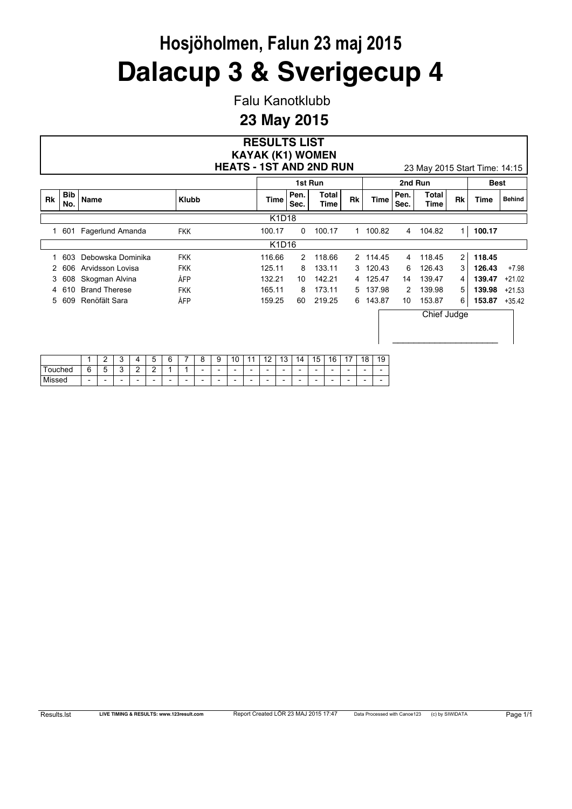Falu Kanotklubb

|           |                   |                      |                                | <b>RESULTS LIST</b><br><b>KAYAK (K1) WOMEN</b> |              |               |    |          |              |                               |                |             |               |
|-----------|-------------------|----------------------|--------------------------------|------------------------------------------------|--------------|---------------|----|----------|--------------|-------------------------------|----------------|-------------|---------------|
|           |                   |                      | <b>HEATS - 1ST AND 2ND RUN</b> |                                                |              |               |    |          |              | 23 May 2015 Start Time: 14:15 |                |             |               |
|           |                   |                      |                                |                                                |              | 1st Run       |    |          |              | 2nd Run                       |                | <b>Best</b> |               |
| <b>Rk</b> | <b>Bib</b><br>No. | Name                 | <b>Klubb</b>                   | Time                                           | Pen.<br>Sec. | Total<br>Time | Rk | Time     | Pen.<br>Sec. | Total<br>Time                 | Rk             | Time        | <b>Behind</b> |
|           |                   |                      |                                | K1D18                                          |              |               |    |          |              |                               |                |             |               |
|           | 1 601             | Fagerlund Amanda     | <b>FKK</b>                     | 100.17                                         | 0            | 100.17        |    | 1 100.82 | 4            | 104.82                        | 1 <sup>1</sup> | 100.17      |               |
|           |                   |                      |                                | K1D16                                          |              |               |    |          |              |                               |                |             |               |
|           | 603               | Debowska Dominika    | <b>FKK</b>                     | 116.66                                         | 2            | 118.66        |    | 2 114.45 | 4            | 118.45                        | $\overline{2}$ | 118.45      |               |
|           | 606               | Arvidsson Lovisa     | <b>FKK</b>                     | 125.11                                         | 8            | 133.11        |    | 3 120.43 | 6            | 126.43                        | 3              | 126.43      | $+7.98$       |
| 3         | 608               | Skogman Alvina       | ÅFP                            | 132.21                                         | 10           | 142.21        |    | 4 125.47 | 14           | 139.47                        | 4              | 139.47      | $+21.02$      |
| 4         | 610               | <b>Brand Therese</b> | <b>FKK</b>                     | 165.11                                         | 8            | 173.11        |    | 5 137.98 | 2            | 139.98                        | 5              | 139.98      | $+21.53$      |
| 5         | 609               | Renöfält Sara        | ÅFP                            | 159.25                                         | 60           | 219.25        |    | 6 143.87 | 10           | 153.87                        | 6              | 153.87      | $+35.42$      |
|           |                   |                      |                                |                                                |              |               |    |          |              | Chief Judge                   |                |             |               |

|        |                          | ╭<br>-       | ∽                        |                          | ∽<br>⊾                   | c<br>n<br>∼              |                          |                          | $\sqrt{2}$<br>v<br>ັ     | 10                       | -4                       | c<br>A<br>. .            | $\sim$<br>-<br>J         | 71                       | 15<br>J | 16<br>1 v                | $\overline{A}$           | 18<br>u                  | $\overline{A}$<br>J<br>≂ |
|--------|--------------------------|--------------|--------------------------|--------------------------|--------------------------|--------------------------|--------------------------|--------------------------|--------------------------|--------------------------|--------------------------|--------------------------|--------------------------|--------------------------|---------|--------------------------|--------------------------|--------------------------|--------------------------|
| ouched | ∽<br>Ë<br>╰              | -<br>∽<br>s. | ◠                        | ∽<br>-                   | ◠                        |                          |                          | $\overline{\phantom{0}}$ | $\overline{\phantom{a}}$ | $\overline{\phantom{a}}$ | $\overline{\phantom{0}}$ | $\overline{\phantom{0}}$ | $\overline{\phantom{0}}$ | $\overline{\phantom{a}}$ | -       | $\overline{\phantom{0}}$ | $\overline{\phantom{0}}$ | $\overline{\phantom{0}}$ | -                        |
| Missed | $\overline{\phantom{a}}$ | -            | $\overline{\phantom{0}}$ | $\overline{\phantom{a}}$ | $\overline{\phantom{a}}$ | $\overline{\phantom{0}}$ | $\overline{\phantom{a}}$ | $\overline{\phantom{0}}$ | $\overline{\phantom{0}}$ | $\overline{\phantom{a}}$ | $\overline{\phantom{0}}$ | $\overline{\phantom{0}}$ | $\overline{\phantom{0}}$ | $\overline{\phantom{a}}$ | -       | $\overline{\phantom{0}}$ | $\overline{\phantom{0}}$ | $\overline{\phantom{0}}$ |                          |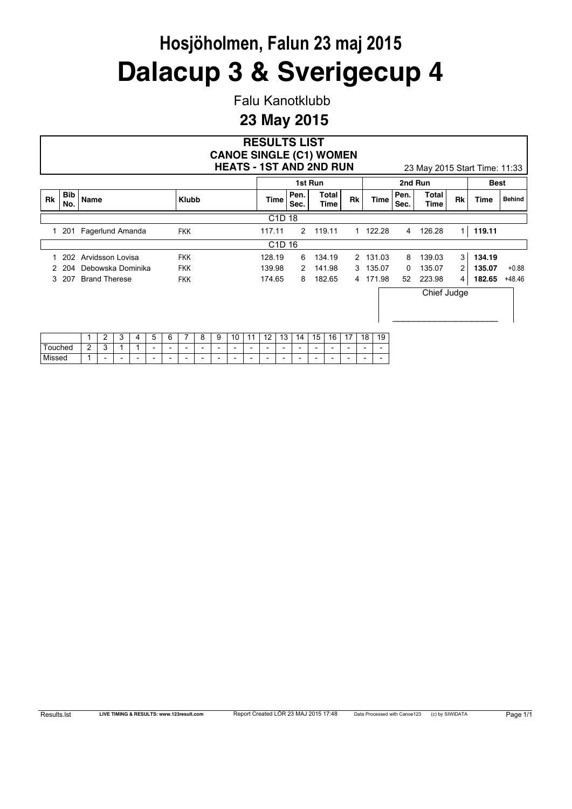Falu Kanotklubb

|           |                   |                      | <b>CANOE SINGLE (C1) WOMEN</b><br><b>HEATS - 1ST AND 2ND RUN</b> | <b>RESULTS LIST</b>            |               |               |    |          |              | 23 May 2015 Start Time: 11:33 |                |        |               |
|-----------|-------------------|----------------------|------------------------------------------------------------------|--------------------------------|---------------|---------------|----|----------|--------------|-------------------------------|----------------|--------|---------------|
|           |                   |                      |                                                                  |                                |               | 1st Run       |    |          |              | 2nd Run                       |                | Best   |               |
| <b>Rk</b> | <b>Bib</b><br>No. | Name                 | <b>Klubb</b>                                                     | <b>Time</b>                    | Pen.<br>Sec.  | Total<br>Time | Rk | Time     | Pen.<br>Sec. | Total<br><b>Time</b>          | Rk             | Time   | <b>Behind</b> |
|           |                   |                      |                                                                  | C <sub>1</sub> D <sub>18</sub> |               |               |    |          |              |                               |                |        |               |
| 1         | 201               | Fagerlund Amanda     | <b>FKK</b>                                                       | 117.11                         | $\mathcal{P}$ | 119.11        |    | 1 122.28 | 4            | 126.28                        | 1 <sup>1</sup> | 119.11 |               |
|           |                   |                      |                                                                  | C <sub>1</sub> D <sub>16</sub> |               |               |    |          |              |                               |                |        |               |
|           | 202               | Arvidsson Lovisa     | <b>FKK</b>                                                       | 128.19                         | 6             | 134.19        |    | 2 131.03 | 8            | 139.03                        | 3 <sup>1</sup> | 134.19 |               |
|           | 204               | Debowska Dominika    | <b>FKK</b>                                                       | 139.98                         | 2             | 141.98        |    | 3 135.07 | 0            | 135.07                        | $\overline{2}$ | 135.07 | $+0.88$       |
| 3         | 207               | <b>Brand Therese</b> | <b>FKK</b>                                                       | 174.65                         | 8             | 182.65        |    | 4 171.98 | 52           | 223.98                        | $\overline{4}$ | 182.65 | $+48.46$      |
|           |                   |                      |                                                                  |                                |               |               |    |          |              | Chief Judge                   |                |        |               |

|               |        | -                        | -<br>ັ                   | ,, | -<br>∽                   | G                        |                          | -<br>л.<br>∼             | a                        | $\sim$<br>л<br>∼         |                          | $\overline{A}$           | $\sqrt{2}$<br>ັ          | 4<br>$\overline{\phantom{a}}$ | 15                       | 16                       | $\overline{ }$<br>-<br>. . | $\Omega$<br>л<br>o       | 4C<br>~<br>. ت           |
|---------------|--------|--------------------------|--------------------------|----|--------------------------|--------------------------|--------------------------|--------------------------|--------------------------|--------------------------|--------------------------|--------------------------|--------------------------|-------------------------------|--------------------------|--------------------------|----------------------------|--------------------------|--------------------------|
| uched         | ◠<br>- | ◠<br>∼                   |                          |    | $\overline{\phantom{0}}$ | $\overline{\phantom{0}}$ | $\overline{\phantom{0}}$ | $\overline{\phantom{0}}$ | $\overline{\phantom{0}}$ | $\overline{\phantom{0}}$ | $\overline{\phantom{a}}$ | $\overline{\phantom{0}}$ | $\overline{\phantom{0}}$ | $\overline{\phantom{0}}$      | $\overline{\phantom{0}}$ | $\overline{\phantom{0}}$ | $\overline{\phantom{0}}$   | $\overline{\phantom{0}}$ | $\overline{\phantom{0}}$ |
| . .<br>Missed |        | $\overline{\phantom{a}}$ | $\overline{\phantom{a}}$ | -  | $\overline{\phantom{0}}$ | $\overline{\phantom{0}}$ | $\overline{\phantom{0}}$ | $\overline{\phantom{0}}$ | $\overline{\phantom{0}}$ | $\overline{\phantom{0}}$ | $\overline{\phantom{a}}$ | $\overline{\phantom{0}}$ | $\overline{\phantom{0}}$ | $\overline{\phantom{0}}$      | $\overline{\phantom{a}}$ | $\overline{\phantom{0}}$ | $\overline{\phantom{0}}$   | $\overline{\phantom{0}}$ | $\overline{\phantom{0}}$ |